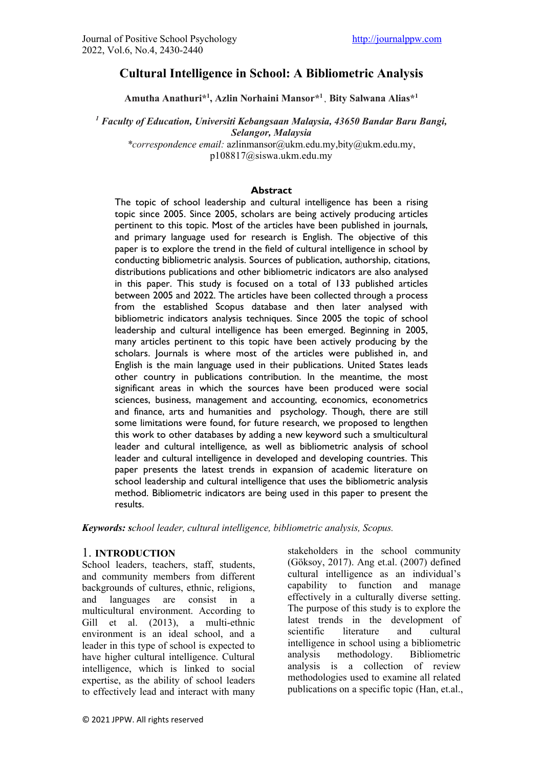# **Cultural Intelligence in School: A Bibliometric Analysis**

**Amutha Anathuri\*1 , Azlin Norhaini Mansor\*1 , Bity Salwana Alias\*1**

*<sup>1</sup> Faculty of Education, Universiti Kebangsaan Malaysia, 43650 Bandar Baru Bangi, Selangor, Malaysia \*correspondence email:* [azlinmansor@ukm.edu.my,b](mailto:azlinmansor@ukm.edu.my,)ity@ukm.edu.my,

p108817@siswa.ukm.edu.my

#### **Abstract**

The topic of school leadership and cultural intelligence has been a rising topic since 2005. Since 2005, scholars are being actively producing articles pertinent to this topic. Most of the articles have been published in journals, and primary language used for research is English. The objective of this paper is to explore the trend in the field of cultural intelligence in school by conducting bibliometric analysis. Sources of publication, authorship, citations, distributions publications and other bibliometric indicators are also analysed in this paper. This study is focused on a total of 133 published articles between 2005 and 2022. The articles have been collected through a process from the established Scopus database and then later analysed with bibliometric indicators analysis techniques. Since 2005 the topic of school leadership and cultural intelligence has been emerged. Beginning in 2005, many articles pertinent to this topic have been actively producing by the scholars. Journals is where most of the articles were published in, and English is the main language used in their publications. United States leads other country in publications contribution. In the meantime, the most significant areas in which the sources have been produced were social sciences, business, management and accounting, economics, econometrics and finance, arts and humanities and psychology. Though, there are still some limitations were found, for future research, we proposed to lengthen this work to other databases by adding a new keyword such a smulticultural leader and cultural intelligence, as well as bibliometric analysis of school leader and cultural intelligence in developed and developing countries. This paper presents the latest trends in expansion of academic literature on school leadership and cultural intelligence that uses the bibliometric analysis method. Bibliometric indicators are being used in this paper to present the results.

*Keywords: school leader, cultural intelligence, bibliometric analysis, Scopus.* 

#### 1. **INTRODUCTION**

School leaders, teachers, staff, students, and community members from different backgrounds of cultures, ethnic, religions, and languages are consist in a multicultural environment. According to Gill et al. (2013), a multi-ethnic environment is an ideal school, and a leader in this type of school is expected to have higher cultural intelligence. Cultural intelligence, which is linked to social expertise, as the ability of school leaders to effectively lead and interact with many

stakeholders in the school community (Göksoy, 2017). Ang et.al. (2007) defined cultural intelligence as an individual's capability to function and manage effectively in a culturally diverse setting. The purpose of this study is to explore the latest trends in the development of scientific literature and cultural intelligence in school using a bibliometric analysis methodology. Bibliometric analysis is a collection of review methodologies used to examine all related publications on a specific topic (Han, et.al.,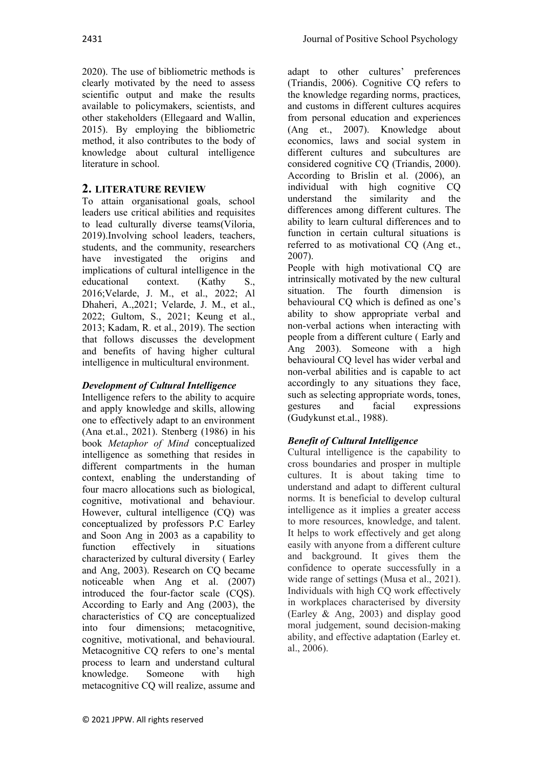2020). The use of bibliometric methods is clearly motivated by the need to assess scientific output and make the results available to policymakers, scientists, and other stakeholders (Ellegaard and Wallin, 2015). By employing the bibliometric method, it also contributes to the body of knowledge about cultural intelligence literature in school.

## **2. LITERATURE REVIEW**

To attain organisational goals, school leaders use critical abilities and requisites to lead culturally diverse teams(Viloria, 2019).Involving school leaders, teachers, students, and the community, researchers have investigated the origins and implications of cultural intelligence in the educational context. (Kathy S., 2016;Velarde, J. M., et al., 2022; Al Dhaheri, A.,2021; Velarde, J. M., et al., 2022; Gultom, S., 2021; Keung et al., 2013; Kadam, R. et al., 2019). The section that follows discusses the development and benefits of having higher cultural intelligence in multicultural environment.

## *Development of Cultural Intelligence*

Intelligence refers to the ability to acquire and apply knowledge and skills, allowing one to effectively adapt to an environment (Ana et.al., 2021). Stenberg (1986) in his book *Metaphor of Mind* conceptualized intelligence as something that resides in different compartments in the human context, enabling the understanding of four macro allocations such as biological, cognitive, motivational and behaviour. However, cultural intelligence (CQ) was conceptualized by professors P.C Earley and Soon Ang in 2003 as a capability to function effectively in situations characterized by cultural diversity ( Earley and Ang, 2003). Research on CQ became noticeable when Ang et al. (2007) introduced the four-factor scale (CQS). According to Early and Ang (2003), the characteristics of CQ are conceptualized into four dimensions; metacognitive, cognitive, motivational, and behavioural. Metacognitive CQ refers to one's mental process to learn and understand cultural knowledge. Someone with high metacognitive CQ will realize, assume and

adapt to other cultures' preferences (Triandis, 2006). Cognitive CQ refers to the knowledge regarding norms, practices, and customs in different cultures acquires from personal education and experiences (Ang et., 2007). Knowledge about economics, laws and social system in different cultures and subcultures are considered cognitive CQ (Triandis, 2000). According to Brislin et al. (2006), an individual with high cognitive CQ understand the similarity and the differences among different cultures. The ability to learn cultural differences and to function in certain cultural situations is referred to as motivational CQ (Ang et., 2007).

People with high motivational CQ are intrinsically motivated by the new cultural situation. The fourth dimension is behavioural CQ which is defined as one's ability to show appropriate verbal and non-verbal actions when interacting with people from a different culture ( Early and Ang 2003). Someone with a high behavioural CQ level has wider verbal and non-verbal abilities and is capable to act accordingly to any situations they face, such as selecting appropriate words, tones, gestures and facial expressions (Gudykunst et.al., 1988).

# *Benefit of Cultural Intelligence*

Cultural intelligence is the capability to cross boundaries and prosper in multiple cultures. It is about taking time to understand and adapt to different cultural norms. It is beneficial to develop cultural intelligence as it implies a greater access to more resources, knowledge, and talent. It helps to work effectively and get along easily with anyone from a different culture and background. It gives them the confidence to operate successfully in a wide range of settings (Musa et al., 2021). Individuals with high CQ work effectively in workplaces characterised by diversity (Earley & Ang, 2003) and display good moral judgement, sound decision-making ability, and effective adaptation (Earley et. al., 2006).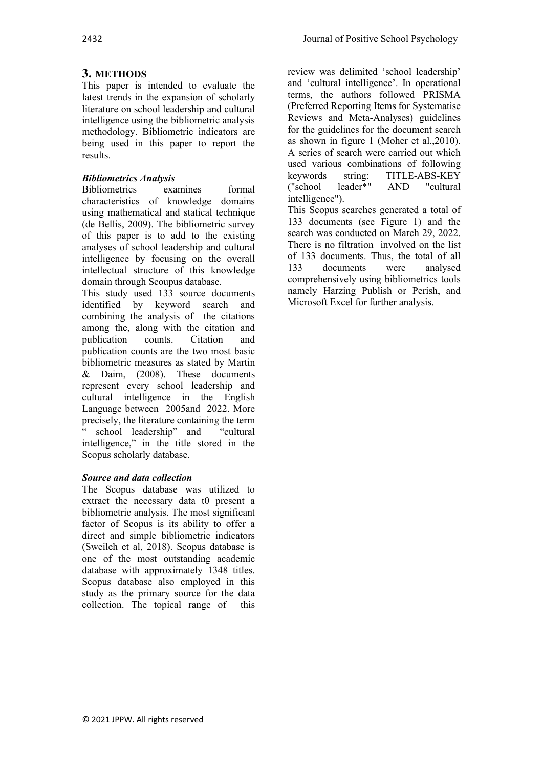# **3. METHODS**

This paper is intended to evaluate the latest trends in the expansion of scholarly literature on school leadership and cultural intelligence using the bibliometric analysis methodology. Bibliometric indicators are being used in this paper to report the results.

## *Bibliometrics Analysis*

Bibliometrics examines formal characteristics of knowledge domains using mathematical and statical technique (de Bellis, 2009). The bibliometric survey of this paper is to add to the existing analyses of school leadership and cultural intelligence by focusing on the overall intellectual structure of this knowledge domain through Scoupus database.

This study used 133 source documents identified by keyword search and combining the analysis of the citations among the, along with the citation and<br>publication counts. Citation and publication counts. Citation and publication counts are the two most basic bibliometric measures as stated by Martin & Daim, (2008). These documents represent every school leadership and cultural intelligence in the English Language between 2005and 2022. More precisely, the literature containing the term " school leadership" and "cultural intelligence," in the title stored in the Scopus scholarly database.

## *Source and data collection*

The Scopus database was utilized to extract the necessary data t0 present a bibliometric analysis. The most significant factor of Scopus is its ability to offer a direct and simple bibliometric indicators (Sweileh et al, 2018). Scopus database is one of the most outstanding academic database with approximately 1348 titles. Scopus database also employed in this study as the primary source for the data collection. The topical range of this review was delimited 'school leadership' and 'cultural intelligence'. In operational terms, the authors followed PRISMA (Preferred Reporting Items for Systematise Reviews and Meta-Analyses) guidelines for the guidelines for the document search as shown in figure 1 (Moher et al.,2010). A series of search were carried out which used various combinations of following<br>
keywords string: TITLE-ABS-KEY string: TITLE-ABS-KEY<br>leader\*" AND "cultural ("school intelligence").

This Scopus searches generated a total of 133 documents (see Figure 1) and the search was conducted on March 29, 2022. There is no filtration involved on the list of 133 documents. Thus, the total of all<br>133 documents were analysed 133 documents were analysed comprehensively using bibliometrics tools namely Harzing Publish or Perish, and Microsoft Excel for further analysis.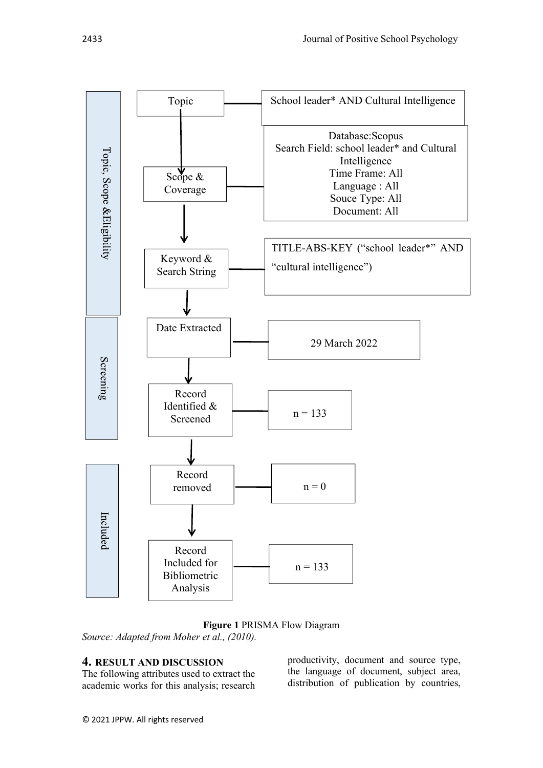

#### **Figure 1** PRISMA Flow Diagram *Source: Adapted from Moher et al., (2010).*

## **4. RESULT AND DISCUSSION**

The following attributes used to extract the academic works for this analysis; research productivity, document and source type, the language of document, subject area, distribution of publication by countries,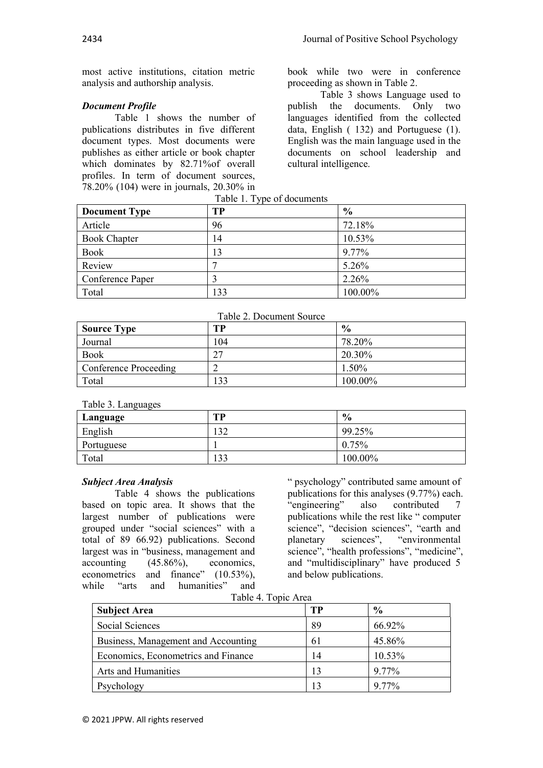most active institutions, citation metric analysis and authorship analysis.

### *Document Profile*

Table 1 shows the number of publications distributes in five different document types. Most documents were publishes as either article or book chapter which dominates by 82.71%of overall profiles. In term of document sources, 78.20% (104) were in journals, 20.30% in book while two were in conference proceeding as shown in Table 2.

Table 3 shows Language used to<br>publish the documents. Only two documents. Only two languages identified from the collected data, English ( 132) and Portuguese (1). English was the main language used in the documents on school leadership and cultural intelligence.

| <b>Document Type</b> | <b>TP</b> | $\frac{6}{9}$ |
|----------------------|-----------|---------------|
| Article              | 96        | 72.18%        |
| <b>Book Chapter</b>  | 14        | 10.53%        |
| Book                 | 13        | 9.77%         |
| Review               | −         | 5.26%         |
| Conference Paper     | 3         | 2.26%         |
| Total                | 133       | 100.00%       |

Table 1. Type of documents

|  | Table 2. Document Source |  |
|--|--------------------------|--|
|--|--------------------------|--|

| <b>Source Type</b>    | TР  | $\frac{0}{0}$ |
|-----------------------|-----|---------------|
| Journal               | 104 | 78.20%        |
| <b>Book</b>           | າາ  | 20.30%        |
| Conference Proceeding |     | $1.50\%$      |
| Total                 | 133 | 100.00%       |

Table 3. Languages

| Language   | TP  | $\frac{6}{9}$ |
|------------|-----|---------------|
| English    | 132 | 99.25%        |
| Portuguese |     | $0.75\%$      |
| Total      | 133 | 100.00%       |

#### *Subject Area Analysis*

Table 4 shows the publications based on topic area. It shows that the largest number of publications were grouped under "social sciences" with a total of 89 66.92) publications. Second largest was in "business, management and accounting (45.86%), economics, econometrics and finance" (10.53%), while "arts and humanities" and

" psychology" contributed same amount of publications for this analyses (9.77%) each. "engineering" also contributed 7 publications while the rest like " computer science", "decision sciences", "earth and planetary sciences", "environmental science", "health professions", "medicine", and "multidisciplinary" have produced 5 and below publications.

Table 4. Topic Area

| <b>Subject Area</b>                 | TР | $\frac{0}{0}$ |  |
|-------------------------------------|----|---------------|--|
| Social Sciences                     | 89 | 66.92%        |  |
| Business, Management and Accounting | 61 | 45.86%        |  |
| Economics, Econometrics and Finance | 14 | 10.53%        |  |
| <b>Arts and Humanities</b>          | 13 | 9.77%         |  |
| Psychology                          |    | 9.77%         |  |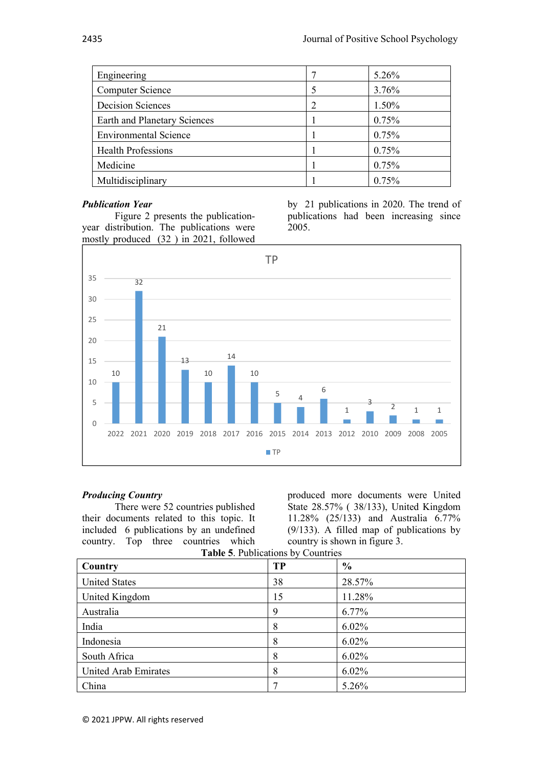| Engineering                  | 5.26% |
|------------------------------|-------|
| Computer Science             | 3.76% |
| <b>Decision Sciences</b>     | 1.50% |
| Earth and Planetary Sciences | 0.75% |
| <b>Environmental Science</b> | 0.75% |
| Health Professions           | 0.75% |
| Medicine                     | 0.75% |
| Multidisciplinary            | 0.75% |

#### *Publication Year*

Figure 2 presents the publicationyear distribution. The publications were mostly produced (32 ) in 2021, followed by 21 publications in 2020. The trend of publications had been increasing since 2005.



### *Producing Country*

There were 52 countries published their documents related to this topic. It included 6 publications by an undefined country. Top three countries which produced more documents were United State 28.57% ( 38/133), United Kingdom 11.28% (25/133) and Australia 6.77% (9/133). A filled map of publications by country is shown in figure 3.

| Table 5. Publications by Countries |  |  |
|------------------------------------|--|--|
|------------------------------------|--|--|

| Country                     | <b>TP</b> | $\frac{0}{0}$ |  |
|-----------------------------|-----------|---------------|--|
| <b>United States</b>        | 38        | 28.57%        |  |
| United Kingdom              | 15        | 11.28%        |  |
| Australia                   | 9         | 6.77%         |  |
| India                       | 8         | $6.02\%$      |  |
| Indonesia                   | 8         | $6.02\%$      |  |
| South Africa                | 8         | 6.02%         |  |
| <b>United Arab Emirates</b> | 8         | 6.02%         |  |
| China                       |           | 5.26%         |  |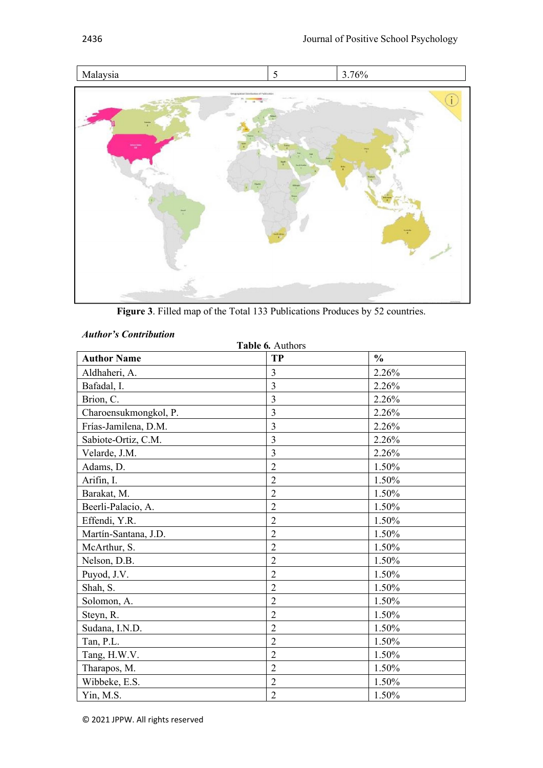

**Figure 3**. Filled map of the Total 133 Publications Produces by 52 countries.

#### *Author's Contribution*

| Table 6. Authors      |                |               |  |
|-----------------------|----------------|---------------|--|
| <b>Author Name</b>    | <b>TP</b>      | $\frac{0}{0}$ |  |
| Aldhaheri, A.         | 3              | 2.26%         |  |
| Bafadal, I.           | 3              | 2.26%         |  |
| Brion, C.             | 3              | 2.26%         |  |
| Charoensukmongkol, P. | $\overline{3}$ | 2.26%         |  |
| Frías-Jamilena, D.M.  | 3              | 2.26%         |  |
| Sabiote-Ortiz, C.M.   | $\overline{3}$ | 2.26%         |  |
| Velarde, J.M.         | $\overline{3}$ | 2.26%         |  |
| Adams, D.             | $\overline{2}$ | 1.50%         |  |
| Arifin, I.            | $\overline{2}$ | 1.50%         |  |
| Barakat, M.           | $\overline{2}$ | 1.50%         |  |
| Beerli-Palacio, A.    | $\overline{2}$ | 1.50%         |  |
| Effendi, Y.R.         | $\overline{2}$ | 1.50%         |  |
| Martín-Santana, J.D.  | $\overline{2}$ | 1.50%         |  |
| McArthur, S.          | $\overline{2}$ | 1.50%         |  |
| Nelson, D.B.          | $\overline{2}$ | 1.50%         |  |
| Puyod, J.V.           | $\overline{2}$ | 1.50%         |  |
| Shah, S.              | $\overline{2}$ | 1.50%         |  |
| Solomon, A.           | $\overline{2}$ | 1.50%         |  |
| Steyn, R.             | $\overline{2}$ | $1.50\%$      |  |
| Sudana, I.N.D.        | $\overline{2}$ | 1.50%         |  |
| Tan, P.L.             | $\overline{2}$ | 1.50%         |  |
| Tang, H.W.V.          | $\overline{2}$ | 1.50%         |  |
| Tharapos, M.          | $\overline{2}$ | 1.50%         |  |
| Wibbeke, E.S.         | $\overline{c}$ | 1.50%         |  |
| Yin, M.S.             | $\overline{2}$ | 1.50%         |  |

© 2021 JPPW. All rights reserved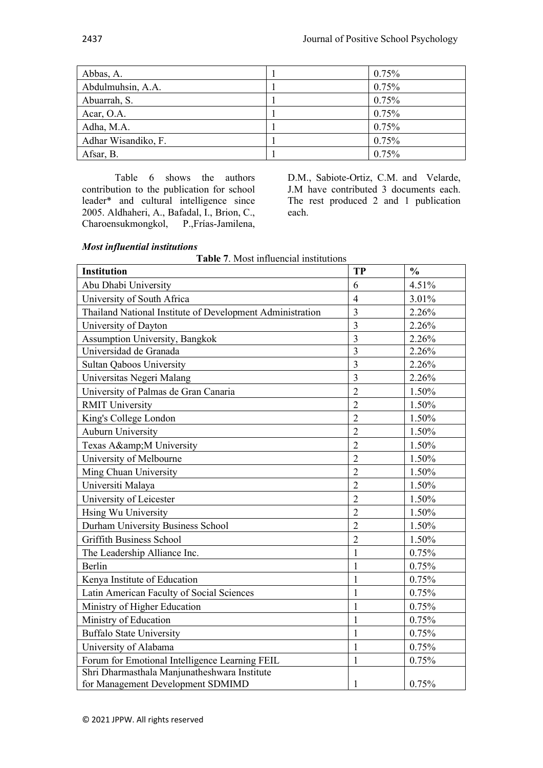| Abbas, A.           | 0.75% |
|---------------------|-------|
| Abdulmuhsin, A.A.   | 0.75% |
| Abuarrah, S.        | 0.75% |
| Acar, O.A.          | 0.75% |
| Adha, M.A.          | 0.75% |
| Adhar Wisandiko, F. | 0.75% |
| Afsar, B.           | 0.75% |

Table 6 shows the authors contribution to the publication for school leader\* and cultural intelligence since 2005. Aldhaheri, A., Bafadal, I., Brion, C., Charoensukmongkol, P.,Frías-Jamilena, D.M., Sabiote-Ortiz, C.M. and Velarde, J.M have contributed 3 documents each. The rest produced 2 and 1 publication each.

### *Most influential institutions*

**Table 7**. Most influencial institutions

| Institution                                               | <b>TP</b>      | $\frac{0}{0}$ |
|-----------------------------------------------------------|----------------|---------------|
| Abu Dhabi University                                      | 6              | 4.51%         |
| University of South Africa                                | $\overline{4}$ | 3.01%         |
| Thailand National Institute of Development Administration | 3              | 2.26%         |
| University of Dayton                                      | $\overline{3}$ | 2.26%         |
| <b>Assumption University, Bangkok</b>                     | $\overline{3}$ | 2.26%         |
| Universidad de Granada                                    | $\overline{3}$ | 2.26%         |
| <b>Sultan Qaboos University</b>                           | $\overline{3}$ | 2.26%         |
| Universitas Negeri Malang                                 | 3              | 2.26%         |
| University of Palmas de Gran Canaria                      | $\overline{2}$ | 1.50%         |
| <b>RMIT University</b>                                    | $\overline{2}$ | 1.50%         |
| King's College London                                     | $\overline{2}$ | 1.50%         |
| <b>Auburn University</b>                                  | $\overline{2}$ | 1.50%         |
| Texas A&M University                                      | $\overline{2}$ | 1.50%         |
| University of Melbourne                                   | $\overline{2}$ | 1.50%         |
| Ming Chuan University                                     | $\overline{2}$ | 1.50%         |
| Universiti Malaya                                         | $\overline{2}$ | 1.50%         |
| University of Leicester                                   | $\overline{2}$ | 1.50%         |
| Hsing Wu University                                       | $\overline{2}$ | 1.50%         |
| Durham University Business School                         | $\overline{2}$ | 1.50%         |
| <b>Griffith Business School</b>                           | $\overline{2}$ | 1.50%         |
| The Leadership Alliance Inc.                              | 1              | 0.75%         |
| Berlin                                                    | 1              | 0.75%         |
| Kenya Institute of Education                              | 1              | 0.75%         |
| Latin American Faculty of Social Sciences                 | 1              | 0.75%         |
| Ministry of Higher Education                              | 1              | 0.75%         |
| Ministry of Education                                     | 1              | 0.75%         |
| <b>Buffalo State University</b>                           | $\mathbf{1}$   | 0.75%         |
| University of Alabama                                     | 1              | 0.75%         |
| Forum for Emotional Intelligence Learning FEIL            | $\mathbf{1}$   | 0.75%         |
| Shri Dharmasthala Manjunatheshwara Institute              |                |               |
| for Management Development SDMIMD                         | 1              | 0.75%         |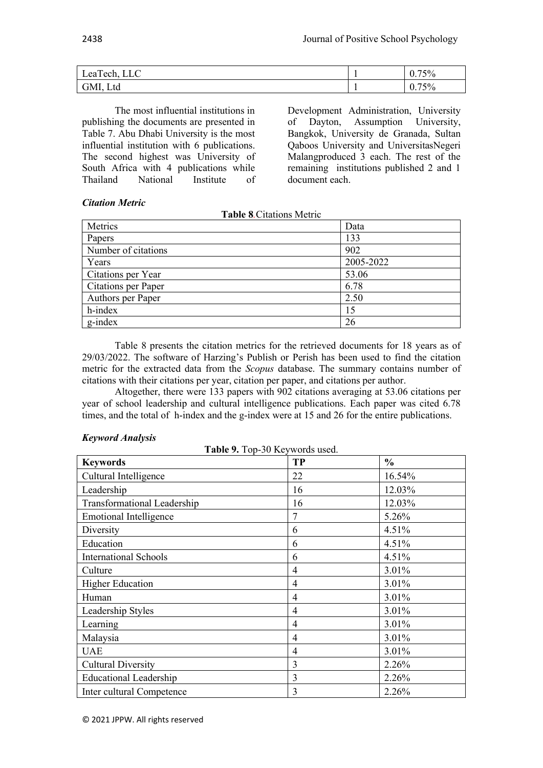| $\sqrt{C}$<br>$\overline{ }$<br>Lea l'ech, '<br>◡◡ | 75%<br>v. |
|----------------------------------------------------|-----------|
| $T_{\text{A}}$<br>GMI<br>UIVII<br>∟เน              | 75%<br>v. |

The most influential institutions in publishing the documents are presented in Table 7. Abu Dhabi University is the most influential institution with 6 publications. The second highest was University of South Africa with 4 publications while Thailand National Institute of

Development Administration, University<br>of Dayton, Assumption University, of Dayton, Assumption University, Bangkok, University de Granada, Sultan Qaboos University and UniversitasNegeri Malangproduced 3 each. The rest of the remaining institutions published 2 and 1 document each.

### *Citation Metric*

**Table 8***.*Citations Metric

| Metrics             | Data      |
|---------------------|-----------|
| Papers              | 133       |
| Number of citations | 902       |
| Years               | 2005-2022 |
| Citations per Year  | 53.06     |
| Citations per Paper | 6.78      |
| Authors per Paper   | 2.50      |
| h-index             | 15        |
| g-index             | 26        |

Table 8 presents the citation metrics for the retrieved documents for 18 years as of 29/03/2022. The software of Harzing's Publish or Perish has been used to find the citation metric for the extracted data from the *Scopus* database. The summary contains number of citations with their citations per year, citation per paper, and citations per author.

Altogether, there were 133 papers with 902 citations averaging at 53.06 citations per year of school leadership and cultural intelligence publications. Each paper was cited 6.78 times, and the total of h-index and the g-index were at 15 and 26 for the entire publications.

### *Keyword Analysis*

**Table 9.** Top-30 Keywords used.

| <b>Keywords</b>               | <b>TP</b> | $\frac{0}{0}$ |
|-------------------------------|-----------|---------------|
| Cultural Intelligence         | 22        | 16.54%        |
| Leadership                    | 16        | 12.03%        |
| Transformational Leadership   | 16        | 12.03%        |
| <b>Emotional Intelligence</b> |           | 5.26%         |
| Diversity                     | 6         | 4.51%         |
| Education                     | 6         | 4.51%         |
| <b>International Schools</b>  | 6         | 4.51%         |
| Culture                       | 4         | 3.01%         |
| <b>Higher Education</b>       | 4         | 3.01%         |
| Human                         | 4         | 3.01%         |
| Leadership Styles             | 4         | 3.01%         |
| Learning                      | 4         | 3.01%         |
| Malaysia                      | 4         | 3.01%         |
| <b>UAE</b>                    | 4         | 3.01%         |
| <b>Cultural Diversity</b>     | 3         | 2.26%         |
| <b>Educational Leadership</b> | 3         | 2.26%         |
| Inter cultural Competence     | 3         | 2.26%         |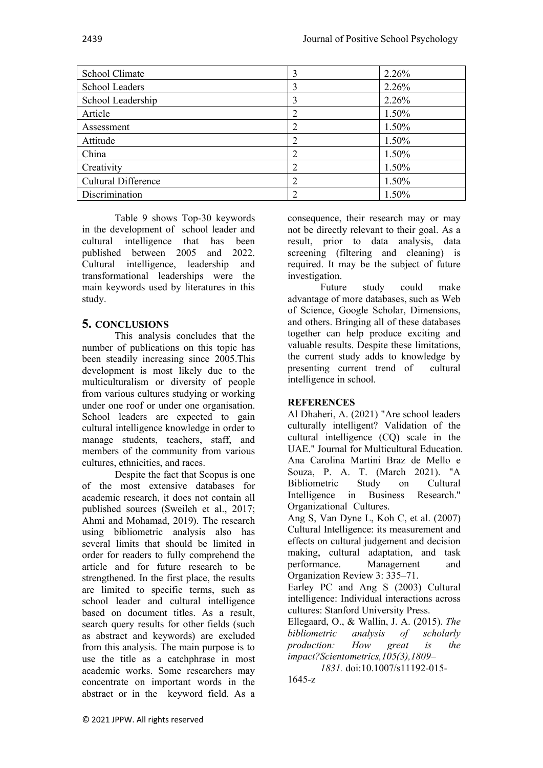| School Climate             | 3              | 2.26%    |
|----------------------------|----------------|----------|
| <b>School Leaders</b>      | 3              | 2.26%    |
| School Leadership          | 3              | 2.26%    |
| Article                    | 2              | $1.50\%$ |
| Assessment                 | 2              | 1.50%    |
| Attitude                   | 2              | 1.50%    |
| China                      | $\overline{2}$ | 1.50%    |
| Creativity                 | 2              | 1.50%    |
| <b>Cultural Difference</b> | $\overline{2}$ | 1.50%    |
| Discrimination             |                | 1.50%    |

Table 9 shows Top-30 keywords in the development of school leader and cultural intelligence that has been published between 2005 and 2022. Cultural intelligence, leadership and transformational leaderships were the main keywords used by literatures in this study.

## **5. CONCLUSIONS**

This analysis concludes that the number of publications on this topic has been steadily increasing since 2005.This development is most likely due to the multiculturalism or diversity of people from various cultures studying or working under one roof or under one organisation. School leaders are expected to gain cultural intelligence knowledge in order to manage students, teachers, staff, and members of the community from various cultures, ethnicities, and races.

Despite the fact that Scopus is one of the most extensive databases for academic research, it does not contain all published sources (Sweileh et al., 2017; Ahmi and Mohamad, 2019). The research using bibliometric analysis also has several limits that should be limited in order for readers to fully comprehend the article and for future research to be strengthened. In the first place, the results are limited to specific terms, such as school leader and cultural intelligence based on document titles. As a result, search query results for other fields (such as abstract and keywords) are excluded from this analysis. The main purpose is to use the title as a catchphrase in most academic works. Some researchers may concentrate on important words in the abstract or in the keyword field. As a

consequence, their research may or may not be directly relevant to their goal. As a result, prior to data analysis, data screening (filtering and cleaning) is required. It may be the subject of future investigation.

Future study could make advantage of more databases, such as Web of Science, Google Scholar, Dimensions, and others. Bringing all of these databases together can help produce exciting and valuable results. Despite these limitations, the current study adds to knowledge by presenting current trend of cultural intelligence in school.

### **REFERENCES**

Al Dhaheri, A. (2021) "Are school leaders culturally intelligent? Validation of the cultural intelligence (CQ) scale in the UAE." Journal for Multicultural Education. Ana Carolina Martini Braz de Mello e Souza, P. A. T. (March 2021). "A Bibliometric Study on Cultural Intelligence in Business Research." Organizational Cultures.

Ang S, Van Dyne L, Koh C, et al. (2007) Cultural Intelligence: its measurement and effects on cultural judgement and decision making, cultural adaptation, and task performance. Management and Organization Review 3: 335–71.

Earley PC and Ang S (2003) Cultural intelligence: Individual interactions across cultures: Stanford University Press.

Ellegaard, O., & Wallin, J. A. (2015). *The bibliometric analysis of scholarly production: How great is the impact?Scientometrics,105(3),1809–*

*1831.* doi:10.1007/s11192-015- 1645-z